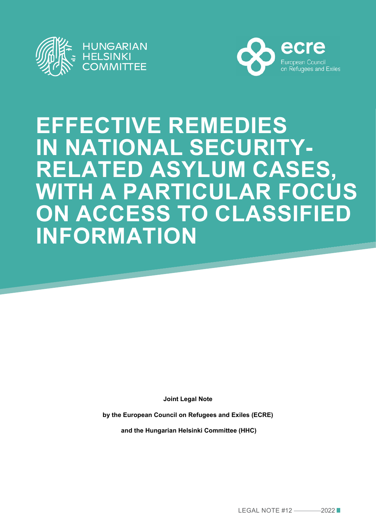



# **EFFECTIVE REMEDIES IN NATIONAL SECURITY-RELATED ASYLUM CASES, WITH A PARTICULAR FOCUS ON ACCESS TO CLASSIFIED INFORMATION**

**Joint Legal Note** 

**by the European Council on Refugees and Exiles (ECRE)**

 **and the Hungarian Helsinki Committee (HHC)**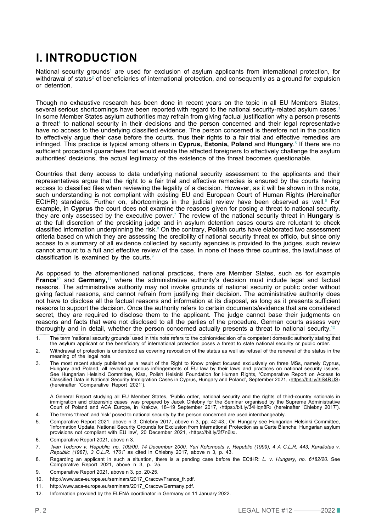# **I. INTRODUCTION**

National security grounds $^{\scriptscriptstyle\mathsf{1}}$  are used for exclusion of asylum applicants from international protection, for withdrawal of status $^{\circ}$  of beneficiaries of international protection, and consequently as a ground for expulsion or detention.

Though no exhaustive research has been done in recent years on the topic in all EU Members States, several serious shortcomings have been reported with regard to the national security-related asylum cases. In some Member States asylum authorities may refrain from giving factual justification why a person presents a threat<sup>4</sup> to national security in their decisions and the person concerned and their legal representative have no access to the underlying classified evidence. The person concerned is therefore not in the position to effectively argue their case before the courts, thus their rights to a fair trial and effective remedies are infringed. This practice is typical among others in **Cyprus, Estonia, Poland** and **Hungary**. 5 If there are no sufficient procedural guarantees that would enable the affected foreigners to effectively challenge the asylum authorities' decisions, the actual legitimacy of the existence of the threat becomes questionable.

Countries that deny access to data underlying national security assessment to the applicants and their representatives argue that the right to a fair trial and effective remedies is ensured by the courts having access to classified files when reviewing the legality of a decision. However, as it will be shown in this note, such understanding is not compliant with existing EU and European Court of Human Rights (Hereinafter ECtHR) standards. Further on, shortcomings in the judicial review have been observed as well. $^{\circ}$  For example, in **Cyprus** the court does not examine the reasons given for posing a threat to national security, they are only assessed by the executive power.7 The review of the national security threat in **Hungary** is at the full discretion of the presiding judge and in asylum detention cases courts are reluctant to check classified information underpinning the risk.<sup>8</sup> On the contrary, **Polish** courts have elaborated two assessment criteria based on which they are assessing the credibility of national security threat ex officio, but since only access to a summary of all evidence collected by security agencies is provided to the judges, such review cannot amount to a full and effective review of the case. In none of these three countries, the lawfulness of classification is examined by the courts.9

As opposed to the aforementioned national practices, there are Member States, such as for example **France**10 and **Germany,**11 where the administrative authority's decision must include legal and factual reasons. The administrative authority may not invoke grounds of national security or public order without giving factual reasons, and cannot refrain from justifying their decision. The administrative authority does not have to disclose all the factual reasons and information at its disposal, as long as it presents sufficient reasons to support the decision. Once the authority refers to certain documents/evidence that are considered secret, they are required to disclose them to the applicant. The judge cannot base their judgments on reasons and facts that were not disclosed to all the parties of the procedure. German courts assess very thoroughly and in detail, whether the person concerned actually presents a threat to national security.<sup>12</sup>

3. The most recent study published as a result of the Right to Know project focused exclusively on three MSs, namely Cyprus, Hungary and Poland, all revealing serious infringements of EU law by their laws and practices on national security issues. See Hungarian Helsinki Committee, Kisa, Polish Helsinki Foundation for Human Rights, 'Comparative Report on Access to Classified Data in National Security Immigration Cases in Cyprus, Hungary and Poland', September 2021, <a>
(https://bit.ly/3lS4RUS)</a> (hereinafter 'Comparative Report 2021').

A General Report studying all EU Member States, 'Public order, national security and the rights of third-country nationals in immigration and citizenship cases' was prepared by Jacek Chlebny for the Seminar organised by the Supreme Administrative Court of Poland and ACA Europe, in Kraków, 18–19 September 2017, ‹https://bit.ly/34Hqn8R› (hereinafter 'Chlebny 2017').

- 4. The terms 'threat' and 'risk' posed to national security by the person concerned are used interchangeably.
- 5. Comparative Report 2021, above n 3; Chlebny 2017, above n 3, pp. 42-43.; On Hungary see Hungarian Helsinki Committee, 'Information Update, National Security Grounds for Exclusion from International Protection as a Carte Blanche: Hungarian asylum provisions not compliant with EU law'*,* 20 December 2021, [‹https://bit.ly/3f7n6ls›](https://bit.ly/3f7n6ls).
- 6. Comparative Report 2021, above n 3.
- 7. *'Ivan Todorov v. Republic, no. 109/00, 14 December 2000, Yuri Kolomoets v. Republic (1999), 4 A C.L.R. 443, Karaliotas v. Republic (1987), 3 C.L.R. 1701*' as cited in Chlebny 2017, above n 3, p. 43.
- 8. Regarding an applicant in such a situation, there is a pending case before the ECtHR: *L. v. Hungary*, *no. 6182/20*. See Comparative Report 2021, above n 3, p. 25.
- 9. Comparative Report 2021, above n 3, pp. 20-25.
- 10. http://www.aca-europe.eu/seminars/2017\_Cracow/France\_fr.pdf.
- 11. http://www.aca-europe.eu/seminars/2017\_Cracow/Germany.pdf.
- P. 2 LEGAL NOTE #12 —2022 12. Information provided by the ELENA coordinator in Germany on 11 January 2022.

<sup>1.</sup> The term 'national security grounds' used in this note refers to the opinion/decision of a competent domestic authority stating that the asylum applicant or the beneficiary of international protection poses a threat to state national security or public order.

<sup>2.</sup> Withdrawal of protection is understood as covering revocation of the status as well as refusal of the renewal of the status in the meaning of the legal note.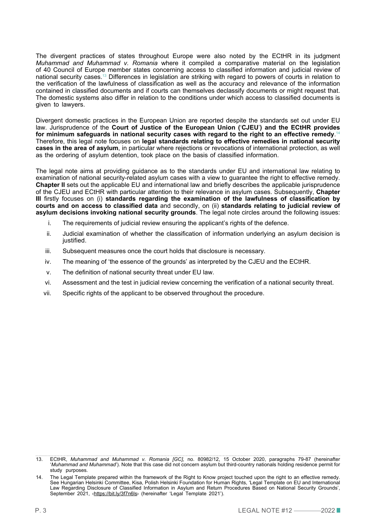The divergent practices of states throughout Europe were also noted by the ECtHR in its judgment *Muhammad and Muhammad v. Romania* where it compiled a comparative material on the legislation of 40 Council of Europe member states concerning access to classified information and judicial review of national security cases.13 Differences in legislation are striking with regard to powers of courts in relation to the verification of the lawfulness of classification as well as the accuracy and relevance of the information contained in classified documents and if courts can themselves declassify documents or might request that. The domestic systems also differ in relation to the conditions under which access to classified documents is given to lawyers.

Divergent domestic practices in the European Union are reported despite the standards set out under EU law. Jurisprudence of the **Court of Justice of the European Union (**'**CJEU**'**) and the ECtHR provides for minimum safeguards in national security cases with regard to the right to an effective remedy**. 14 Therefore, this legal note focuses on **legal standards relating to effective remedies in national security cases in the area of asylum**, in particular where rejections or revocations of international protection, as well as the ordering of asylum detention, took place on the basis of classified information.

The legal note aims at providing guidance as to the standards under EU and international law relating to examination of national security-related asylum cases with a view to guarantee the right to effective remedy. **Chapter II** sets out the applicable EU and international law and briefly describes the applicable jurisprudence of the CJEU and ECtHR with particular attention to their relevance in asylum cases. Subsequently, **Chapter III** firstly focuses on (i) **standards regarding the examination of the lawfulness of classification by courts and on access to classified data** and secondly, on (ii) **standards relating to judicial review of asylum decisions invoking national security grounds**. The legal note circles around the following issues:

- i. The requirements of judicial review ensuring the applicant's rights of the defence.
- ii. Judicial examination of whether the classification of information underlying an asylum decision is justified.
- iii. Subsequent measures once the court holds that disclosure is necessary.
- iv. The meaning of 'the essence of the grounds' as interpreted by the CJEU and the ECtHR.
- v. The definition of national security threat under EU law.
- vi. Assessment and the test in judicial review concerning the verification of a national security threat.
- vii. Specific rights of the applicant to be observed throughout the procedure.

<sup>13.</sup> ECtHR, *Muhammad and Muhammad v. Romania [GC]*, no. 80982/12, 15 October 2020, paragraphs 79-87 (hereinafter '*Muhammad and Muhammad*'). Note that this case did not concern asylum but third-country nationals holding residence permit for study purposes.

P. 3 LEGAL NOTE #12 —2022 14. The Legal Template prepared within the framework of the Right to Know project touched upon the right to an effective remedy. See Hungarian Helsinki Committee, Kisa, Polish Helsinki Foundation for Human Rights, 'Legal Template on EU and International Law Regarding Disclosure of Classified Information in Asylum and Return Procedures Based on National Security Grounds', September 2021, <<https://bit.ly/3f7n6ls>> (hereinafter 'Legal Template 2021').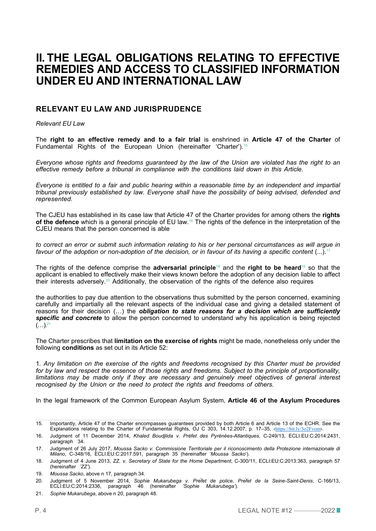### **II. THE LEGAL OBLIGATIONS RELATING TO EFFECTIVE REMEDIES AND ACCESS TO CLASSIFIED INFORMATION UNDER EU AND INTERNATIONAL LAW**

#### **RELEVANT EU LAW AND JURISPRUDENCE**

*Relevant EU Law*

The **right to an effective remedy and to a fair trial** is enshrined in **Article 47 of the Charter** of Fundamental Rights of the European Union (hereinafter 'Charter').<sup>15</sup>

*Everyone whose rights and freedoms guaranteed by the law of the Union are violated has the right to an effective remedy before a tribunal in compliance with the conditions laid down in this Article.*

*Everyone is entitled to a fair and public hearing within a reasonable time by an independent and impartial tribunal previously established by law. Everyone shall have the possibility of being advised, defended and represented.*

The CJEU has established in its case law that Article 47 of the Charter provides for among others the **rights of the defence** which is a general principle of EU law.16 The rights of the defence in the interpretation of the CJEU means that the person concerned is able

*to correct an error or submit such information relating to his or her personal circumstances as will argue in favour of the adoption or non-adoption of the decision, or in favour of its having a specific content* (...).17

The rights of the defence comprise the **adversarial principle**18 and the **right to be heard**19 so that the applicant is enabled to effectively make their views known before the adoption of any decision liable to affect their interests adversely.20 Additionally, the observation of the rights of the defence also requires

the authorities to pay due attention to the observations thus submitted by the person concerned, examining carefully and impartially all the relevant aspects of the individual case and giving a detailed statement of reasons for their decision (…) the *obligation to state reasons for a decision which are sufficiently specific and concrete* to allow the person concerned to understand why his application is being rejected  $(...)^{21}$ 

The Charter prescribes that **limitation on the exercise of rights** might be made, nonetheless only under the following **conditions** as set out in its Article 52:

1*. Any limitation on the exercise of the rights and freedoms recognised by this Charter must be provided for by law and respect the essence of those rights and freedoms. Subject to the principle of proportionality,*  limitations may be made only if they are necessary and genuinely meet objectives of general interest *recognised by the Union or the need to protect the rights and freedoms of others.*

In the legal framework of the Common European Asylum System, **Article 46 of the Asylum Procedures** 

<sup>15.</sup> Importantly, Article 47 of the Charter encompasses guarantees provided by both Article 6 and Article 13 of the ECHR. See the Explanations relating to the Charter of Fundamental Rights, OJ C 303, 14.12.2007, p. 17–35, ‹<https://bit.ly/3o2Fvom>›.

<sup>16.</sup> Judgment of 11 December 2014, *Khaled Boudjlida v. Préfet des Pyrénées-Atlantiques*, C-249/13, ECLI:EU:C:2014:2431, paragraph 34.

<sup>17.</sup> Judgment of 26 July 2017, *Moussa Sacko v. Commissione Territoriale per il riconoscimento della Protezione internazionale di Milano*, C-348/16, ECLI:EU:C:2017:591, paragraph 35 (hereinafter '*Moussa Sacko*').

<sup>18.</sup> Judgment of 4 June 2013, *ZZ. v. Secretary of State for the Home Department*, C-300/11, ECLI:EU:C:2013:363, paragraph 57 (hereinafter *'ZZ'*).

<sup>19.</sup> *Moussa Sacko*, above n 17, paragraph 34.

<sup>20.</sup> Judgment of 5 November 2014, *Sophie Mukarubega v. Préfet de police, Préfet de la Seine-Saint-Denis*, C‐166/13, ECLI:EU:C:2014:2336, paragraph 46 (hereinafter *'Sophie Mukarubega'*).

P. 4 LEGAL NOTE #12 —2022 21. *Sophie Mukarubega*, above n 20, paragraph 48.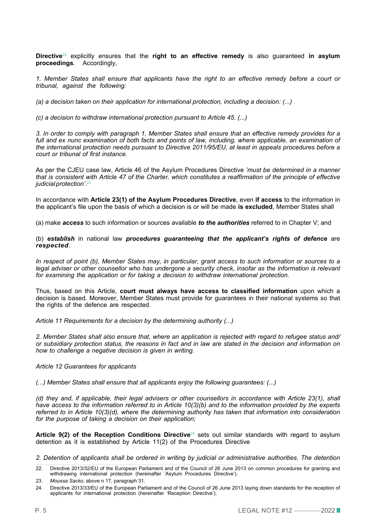**Directive**22 explicitly ensures that the **right to an effective remedy** is also guaranteed **in asylum proceedings**. Accordingly,

*1. Member States shall ensure that applicants have the right to an effective remedy before a court or tribunal, against the following:* 

*(a) a decision taken on their application for international protection, including a decision: (...)*

*(c) a decision to withdraw international protection pursuant to Article 45. (...)*

*3. In order to comply with paragraph 1, Member States shall ensure that an effective remedy provides for a*  full and ex nunc examination of both facts and points of law, including, where applicable, an examination of *the international protection needs pursuant to Directive 2011/95/EU, at least in appeals procedures before a court or tribunal of first instance.*

As per the CJEU case law, Article 46 of the Asylum Procedures Directive *'must be determined in a manner that is consistent with Article 47 of the Charter, which constitutes a reaffirmation of the principle of effective judicial protection'.*<sup>23</sup>

In accordance with **Article 23(1) of the Asylum Procedures Directive**, even **if access** to the information in the applicant's file upon the basis of which a decision is or will be made **is excluded**, Member States shall

(a) make *access* to such information or sources available *to the authorities* referred to in Chapter V; and

(b) *establish* in national law *procedures guaranteeing that the applicant's rights of defence* are *respected*.

*In respect of point (b), Member States may, in particular, grant access to such information or sources to a legal adviser or other counsellor who has undergone a security check, insofar as the information is relevant for examining the application or for taking a decision to withdraw international protection.* 

Thus, based on this Article, **court must always have access to classified information** upon which a decision is based. Moreover, Member States must provide for guarantees in their national systems so that the rights of the defence are respected.

*Article 11 Requirements for a decision by the determining authority (...)*

*2. Member States shall also ensure that, where an application is rejected with regard to refugee status and/ or subsidiary protection status, the reasons in fact and in law are stated in the decision and information on how to challenge a negative decision is given in writing.*

#### *Article 12 Guarantees for applicants*

*(...) Member States shall ensure that all applicants enjoy the following guarantees: (...)*

*(d) they and, if applicable, their legal advisers or other counsellors in accordance with Article 23(1), shall have access to the information referred to in Article 10(3)(b) and to the information provided by the experts referred to in Article 10(3)(d), where the determining authority has taken that information into consideration for the purpose of taking a decision on their application;* 

Article 9(2) of the Reception Conditions Directive<sup>24</sup> sets out similar standards with regard to asylum detention as it is established by Article 11(2) of the Procedures Directive

*2. Detention of applicants shall be ordered in writing by judicial or administrative authorities. The detention* 

<sup>22.</sup> Directive 2013/32/EU of the European Parliament and of the Council of 26 June 2013 on common procedures for granting and withdrawing international protection (hereinafter 'Asylum Procedures Directive').

<sup>23.</sup> *Moussa Sacko*, above n 17, paragraph 31.

P. 5 LEGAL NOTE #12 —2022 24. Directive 2013/33/EU of the European Parliament and of the Council of 26 June 2013 laying down standards for the reception of applicants for international protection (hereinafter 'Reception Directive').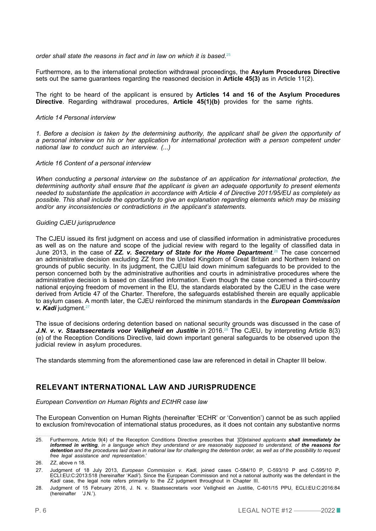*order shall state the reasons in fact and in law on which it is based.*<sup>25</sup>

Furthermore, as to the international protection withdrawal proceedings, the **Asylum Procedures Directive** sets out the same guarantees regarding the reasoned decision in **Article 45(3)** as in Article 11(2).

The right to be heard of the applicant is ensured by **Articles 14 and 16 of the Asylum Procedures Directive**. Regarding withdrawal procedures, **Article 45(1)(b)** provides for the same rights.

#### *Article 14 Personal interview*

*1. Before a decision is taken by the determining authority, the applicant shall be given the opportunity of a personal interview on his or her application for international protection with a person competent under national law to conduct such an interview. (...)*

#### *Article 16 Content of a personal interview*

*When conducting a personal interview on the substance of an application for international protection, the determining authority shall ensure that the applicant is given an adequate opportunity to present elements needed to substantiate the application in accordance with Article 4 of Directive 2011/95/EU as completely as possible. This shall include the opportunity to give an explanation regarding elements which may be missing and/or any inconsistencies or contradictions in the applicant's statements.* 

#### *Guiding CJEU jurisprudence*

The CJEU issued its first judgment on access and use of classified information in administrative procedures as well as on the nature and scope of the judicial review with regard to the legality of classified data in June 2013, in the case of *ZZ. v. Secretary of State for the Home Department*. 26 The case concerned an administrative decision excluding ZZ from the United Kingdom of Great Britain and Northern Ireland on grounds of public security. In its judgment, the CJEU laid down minimum safeguards to be provided to the person concerned both by the administrative authorities and courts in administrative procedures where the administrative decision is based on classified information. Even though the case concerned a third-country national enjoying freedom of movement in the EU, the standards elaborated by the CJEU in the case were derived from Article 47 of the Charter. Therefore, the safeguards established therein are equally applicable to asylum cases. A month later, the CJEU reinforced the minimum standards in the *European Commission v. Kadi* judgment.27

The issue of decisions ordering detention based on national security grounds was discussed in the case of *J.N. v. v. Staatssecretaris voor Veiligheid en Justitie* in 2016.<sup>28</sup> The CJEU, by interpreting Article 8(3) (e) of the Reception Conditions Directive, laid down important general safeguards to be observed upon the judicial review in asylum procedures.

The standards stemming from the aforementioned case law are referenced in detail in Chapter III below.

#### **RELEVANT INTERNATIONAL LAW AND JURISPRUDENCE**

*European Convention on Human Rights and ECtHR case law*

The European Convention on Human Rights (hereinafter 'ECHR' or 'Convention') cannot be as such applied to exclusion from/revocation of international status procedures, as it does not contain any substantive norms

<sup>25.</sup> Furthermore, Article 9(4) of the Reception Conditions Directive prescribes that *'[D]etained applicants shall immediately be informed in writing, in a language which they understand or are reasonably supposed to understand, of the reasons for detention and the procedures laid down in national law for challenging the detention order, as well as of the possibility to request free legal assistance and representation*.'

<sup>26.</sup> *ZZ*, above n 18.

<sup>27.</sup> Judgment of 18 July 2013, *European Commission v. Kadi,* joined cases C-584/10 P, C-593/10 P and C-595/10 P, ECLI:EU:C:2013:518 (hereinafter '*Kadi'*). Since the European Commission and not a national authority was the defendant in the *Kadi* case, the legal note refers primarily to the *ZZ* judgment throughout in Chapter III.

P. 6 LEGAL NOTE #12 —2022 28. Judgment of 15 February 2016, J. N. v. Staatssecretaris voor Veiligheid en Justitie, C-601/15 PPU, ECLI:EU:C:2016:84 (hereinafter 'J.N.').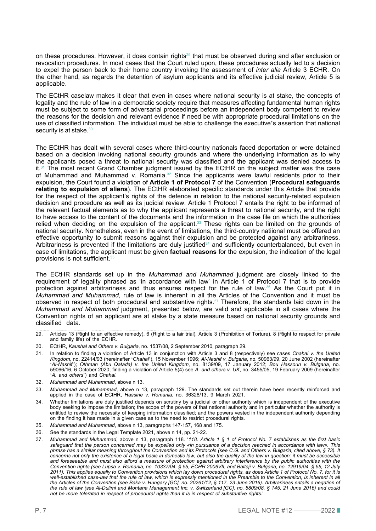on these procedures. However, it does contain rights<sup>29</sup> that must be observed during and after exclusion or revocation procedures. In most cases that the Court ruled upon, these procedures actually led to a decision to expel the person back to their home country invoking the assessment of *inter alia* Article 3 ECHR. On the other hand, as regards the detention of asylum applicants and its effective judicial review, Article 5 is applicable.

The ECtHR caselaw makes it clear that even in cases where national security is at stake, the concepts of legality and the rule of law in a democratic society require that measures affecting fundamental human rights must be subject to some form of adversarial proceedings before an independent body competent to review the reasons for the decision and relevant evidence if need be with appropriate procedural limitations on the use of classified information. The individual must be able to challenge the executive's assertion that national security is at stake.<sup>30</sup>

The ECtHR has dealt with several cases where third-country nationals faced deportation or were detained based on a decision invoking national security grounds and where the underlying information as to why the applicants posed a threat to national security was classified and the applicant was denied access to  $it$ , $31$  The most recent Grand Chamber judgment issued by the ECtHR on the subject matter was the case of Muhammad and Muhammad v. Romania.<sup>32</sup> Since the applicants were lawful residents prior to their expulsion, the Court found a violation of **Article 1 of Protocol 7** of the Convention (**Procedural safeguards relating to expulsion of aliens**). The ECtHR elaborated specific standards under this Article that provide for the respect of the applicant's rights of the defence in relation to the national security-related expulsion decision and procedure as well as its judicial review. Article 1 Protocol 7 entails the right to be informed of the relevant factual elements as to why the applicant represents a threat to national security, and the right to have access to the content of the documents and the information in the case file on which the authorities relied when deciding on the expulsion of the applicant.<sup>33</sup> These rights can be limited on the grounds of national security. Nonetheless, even in the event of limitations, the third-country natiional must be offered an effective opportunity to submit reasons against their expulsion and be protected against any arbitrariness. Arbitrariness is prevented if the limitations are duly justified<sup>34</sup> and sufficiently counterbalanced, but even in case of limitations, the applicant must be given **factual reasons** for the expulsion, the indication of the legal provisions is not sufficient.<sup>3</sup>

The ECtHR standards set up in the *Muhammad and Muhammad* judgment are closely linked to the requirement of legality phrased as 'in accordance with law' in Article 1 of Protocol 7 that is to provide protection against arbitrariness and thus ensures respect for the rule of law.36 As the Court put it in *Muhammad and Muhammad*, rule of law is inherent in all the Articles of the Convention and it must be observed in respect of both procedural and substantive rights.37 Therefore, the standards laid down in the *Muhammad and Muhammad* judgment, presented below, are valid and applicable in all cases where the Convention rights of an applicant are at stake by a state measure based on national security grounds and classified data.

- 29. Articles 13 (Right to an effective remedy), 6 (Right to a fair trial), Article 3 (Prohibition of Torture), 8 (Right to respect for private and family life) of the ECHR.
- 30. ECtHR, *Kaushal and Others v. Bulgaria*, no. 1537/08, 2 September 2010, paragraph 29.
- 31. In relation to finding a violation of Article 13 in conjunction with Article 3 and 8 (respectively) see cases *Chahal v. the United Kingdom*, no. 22414/93 (hereinafter '*Chahal*'), 15 November 1996; *Al-Nashif v. Bulgaria*, no. 50963/99, 20 June 2002 (hereinafter '*Al-Nashif*'); *Othman (Abu Qatada) v. the United Kingdom*, no. 8139/09, 17 January 2012; *Bou Hassoun v. Bulgaria*, no. 59066/16, 6 October 2020; finding a violation of Article 5(4) see *A. and others v. UK*, no. 3455/05, 19 February 2009 (hereinafter '*A. and others*') and *Chahal*.
- 32. *Muhammad and Muhammad*, above n 13.
- 33. *Muhammad and Muhammad*, above n 13, paragraph 129. The standards set out therein have been recently reinforced and applied in the case of ECtHR, *Hassine v. Romania*, no. 36328/13, 9 March 2021.
- 34. Whether limitations are duly justified depends on scrutiny by a judicial or other authority which is independent of the executive body seeking to impose the limitation; the scope of the powers of that national authority and in particular whether the authority is entitled to review the necessity of keeping information classified; and the powers vested in the independent authority depending on the finding it has made in a given case as to the need to restrict procedural rights.
- 35. *Muhammad and Muhammad*, above n 13, paragraphs 147-157, 168 and 175.
- 36. See the standards in the Legal Template 2021, above n 14, pp. 21-22.
- not be more tolerated in respect of procedural rights than it is in respect of substantive rights.'<br>P. 7 LEGAL NOTE #12 ———2022 37. *Muhammad and Muhammad*, above n 13, paragraph 118. '*118. Article 1 § 1 of Protocol No. 7 establishes as the first basic safeguard that the person concerned may be expelled only «in pursuance of a decision reached in accordance with law». This phrase has a similar meaning throughout the Convention and its Protocols (see C.G. and Others v. Bulgaria, cited above, § 73). It concerns not only the existence of a legal basis in domestic law, but also the quality of the law in question: it must be accessible and foreseeable and must also afford a measure of protection against arbitrary interference by the public authorities with the Convention rights (see Lupsa v. Romania, no. 10337/04, § 55, ECHR 2006VII, and Baltaji v. Bulgaria, no. 12919/04, § 55, 12 July 2011). This applies equally to Convention provisions which lay down procedural rights, as does Article 1 of Protocol No. 7, for it is*  well-established case-law that the rule of law, which is expressly mentioned in the Preamble to the Convention, is inherent in all *the Articles of the Convention (see Baka v. Hungary [GC], no. 20261/12, § 117, 23 June 2016). Arbitrariness entails a negation of the rule of law (see Al-Dulimi and Montana Management Inc. v. Switzerland [GC], no. 5809/08, § 145, 21 June 2016) and could*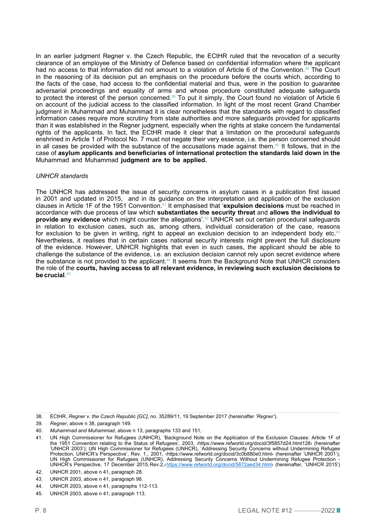In an earlier judgment Regner v. the Czech Republic, the ECtHR ruled that the revocation of a security clearance of an employee of the Ministry of Defence based on confidential information where the applicant had no access to that information did not amount to a violation of Article 6 of the Convention.<sup>38</sup> The Court in the reasoning of its decision put an emphasis on the procedure before the courts which, according to the facts of the case, had access to the confidential material and thus, were in the position to guarantee adversarial proceedings and equality of arms and whose procedure constituted adequate safeguards to protect the interest of the person concerned.<sup>39</sup> To put it simply, the Court found no violation of Article 6 on account of the judicial access to the classified information. In light of the most recent Grand Chamber judgment in Muhammad and Muhammad it is clear nonetheless that the standards with regard to classified information cases require more scrutiny from state authorities and more safeguards provided for applicants than it was established in the Regner judgment, especially when the rights at stake concern the fundamental rights of the applicants. In fact, the ECtHR made it clear that a limitation on the procedural safeguards enshrined in Article 1 of Protocol No. 7 must not negate their very essence, i.e. the person concerned should in all cases be provided with the substance of the accusations made against them.<sup>40</sup> It follows, that in the case of **asylum applicants and beneficiaries of international protection the standards laid down in the**  Muhammad and Muhammad **judgment are to be applied.**

#### *UNHCR standards*

The UNHCR has addressed the issue of security concerns in asylum cases in a publication first issued in 2001 and updated in 2015, and in its guidance on the interpretation and application of the exclusion clauses in Article 1F of the 1951 Convention.41 It emphasised that '**expulsion decisions** must be reached in accordance with due process of law which **substantiates the security threat** and **allows the individual to provide any evidence** which might counter the allegations'.42 UNHCR set out certain procedural safeguards in relation to exclusion cases, such as, among others, individual consideration of the case, reasons for exclusion to be given in writing, right to appeal an exclusion decision to an independent body etc.<sup>43</sup> Nevertheless, it realises that in certain cases national security interests might prevent the full disclosure of the evidence. However, UNHCR highlights that even in such cases, the applicant should be able to challenge the substance of the evidence, i.e. an exclusion decision cannot rely upon secret evidence where the substance is not provided to the applicant.<sup>44</sup> It seems from the Background Note that UNHCR considers the role of the **courts, having access to all relevant evidence, in reviewing such exclusion decisions to be crucial**. 45

<sup>38.</sup> ECtHR, *Regner v. the Czech Republic [GC]*, no. 35289/11, 19 September 2017 (hereinafter *'Regner'*).

<sup>39.</sup> *Regner*, above n 38, paragraph 149.

<sup>40.</sup> *Muhammad and Muhammad*, above n 13, paragraphs 133 and 151,

<sup>41.</sup> UN High Commissioner for Refugees (UNHCR), 'Background Note on the Application of the Exclusion Clauses: Article 1F of the 1951 Convention relating to the Status of Refugees', 2003, ‹https://www.refworld.org/docid/3f5857d24.html128› (hereinafter 'UNHCR 2003'); UN High Commissioner for Refugees (UNHCR), 'Addressing Security Concerns without Undermining Refugee Protection, UNHCR's Perspective', Rev. 1., 2001, ‹https://www.refworld.org/docid/3c0b880e0.html› (hereinafter 'UNHCR 2001'); UN High Commissioner for Refugees (UNHCR), Addressing Security Concerns Without Undermining Refugee Protection UNHCR's Perspective, 17 December 2015, Rev.2, < <https://www.refworld.org/docid/5672aed34.html>> (hereinafter, 'UNHCR 2015')

<sup>42.</sup> UNHCR 2001, above n 41, paragraph 28.

<sup>43.</sup> UNHCR 2003, above n 41, paragraph 98.

<sup>44.</sup> UNHCR 2003, above n 41, paragraphs 112-113.

<sup>45.</sup> UNHCR 2003, above n 41, paragraph 113.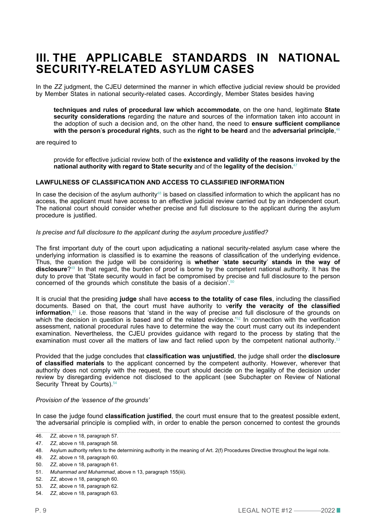### **III. THE APPLICABLE STANDARDS IN NATIONAL SECURITY-RELATED ASYLUM CASES**

In the *ZZ* judgment, the CJEU determined the manner in which effective judicial review should be provided by Member States in national security-related cases. Accordingly, Member States besides having

**techniques and rules of procedural law which accommodate**, on the one hand, legitimate **State security considerations** regarding the nature and sources of the information taken into account in the adoption of such a decision and, on the other hand, the need to **ensure sufficient compliance with the person**'**s procedural rights**, such as the **right to be heard** and the **adversarial principle**, 46

are required to

provide for effective judicial review both of the **existence and validity of the reasons invoked by the national authority with regard to State security** and of the **legality of the decision.**<sup>47</sup>

#### **LAWFULNESS OF CLASSIFICATION AND ACCESS TO CLASSIFIED INFORMATION**

In case the decision of the asylum authority<sup>48</sup> is based on classified information to which the applicant has no access, the applicant must have access to an effective judicial review carried out by an independent court. The national court should consider whether precise and full disclosure to the applicant during the asylum procedure is justified.

#### *Is precise and full disclosure to the applicant during the asylum procedure justified?*

The first important duty of the court upon adjudicating a national security-related asylum case where the underlying information is classified is to examine the reasons of classification of the underlying evidence. Thus, the question the judge will be considering is **whether** '**state security**' **stands in the way of disclosure**?49 In that regard, the burden of proof is borne by the competent national authority. It has the duty to prove that 'State security would in fact be compromised by precise and full disclosure to the person concerned of the grounds which constitute the basis of a decision'.50

It is crucial that the presiding **judge** shall have **access to the totality of case files**, including the classified documents. Based on that, the court must have authority to v**erify the veracity of the classified information**,<sup>51</sup> i.e. those reasons that 'stand in the way of precise and full disclosure of the grounds on which the decision in question is based and of the related evidence.'<sup>52</sup> In connection with the verification assessment, national procedural rules have to determine the way the court must carry out its independent examination. Nevertheless, the CJEU provides guidance with regard to the process by stating that the examination must cover all the matters of law and fact relied upon by the competent national authority.<sup>53</sup>

Provided that the judge concludes that **classification was unjustified**, the judge shall order the **disclosure of classified materials** to the applicant concerned by the competent authority. However, wherever that authority does not comply with the request, the court should decide on the legality of the decision under review by disregarding evidence not disclosed to the applicant (see Subchapter on Review of National Security Threat by Courts).<sup>54</sup>

#### *Provision of the 'essence of the grounds'*

In case the judge found **classification justified**, the court must ensure that to the greatest possible extent, 'the adversarial principle is complied with, in order to enable the person concerned to contest the grounds

<sup>46.</sup> *ZZ*, above n 18, paragraph 57.

<sup>47.</sup> *ZZ*, above n 18, paragraph 58.

<sup>48.</sup> Asylum authority refers to the determining authority in the meaning of Art. 2(f) Procedures Directive throughout the legal note.

<sup>49.</sup> *ZZ*, above n 18, paragraph 60.

<sup>50.</sup> *ZZ*, above n 18, paragraph 61.

<sup>51.</sup> *Muhammad and Muhammad*, above n 13, paragraph 155(iii).

<sup>52.</sup> *ZZ*, above n 18, paragraph 60.

<sup>53.</sup> *ZZ*, above n 18, paragraph 62.

<sup>54.</sup> *ZZ*, above n 18, paragraph 63.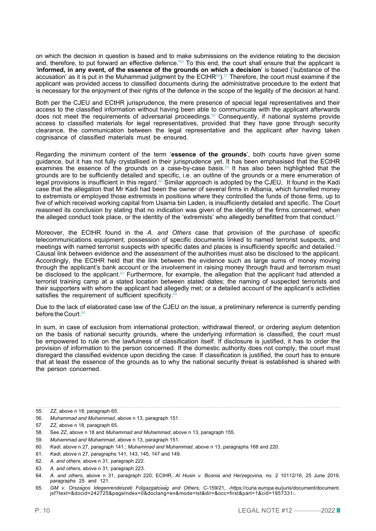on which the decision in question is based and to make submissions on the evidence relating to the decision and, therefore, to put forward an effective defence.<sup>'55</sup> To this end, the court shall ensure that the applicant is '**informed, in any event, of the essence of the grounds on which a decision**' is based ('substance of the accusation' as it is put in the Muhammad judgment by the ECtHR<sup>56</sup>).<sup>57</sup> Therefore, the court must examine if the applicant was provided access to classified documents during the administrative procedure to the extent that is necessary for the enjoyment of their rights of the defence in the scope of the legality of the decision at hand.

Both per the CJEU and ECtHR jurisprudence, the mere presence of special legal representatives and their access to the classified information without having been able to communicate with the applicant afterwards does not meet the requirements of adversarial proceedings.58 Consequently, if national systems provide access to classified materials for legal representatives, provided that they have gone through security clearance, the communication between the legal representative and the applicant after having taken cognisance of classified materials must be ensured.

Regarding the minimum content of the term '**essence of the grounds**', both courts have given some guidance, but it has not fully crystallised in their jurisprudence yet. It has been emphasised that the ECtHR examines the essence of the grounds on a case-by-case basis.59 It has also been highlighted that the grounds are to be sufficiently detailed and specific, i.e. an outline of the grounds or a mere enumeration of legal provisions is insufficient in this regard.<sup>60</sup> Similar approach is adopted by the CJEU, It found in the Kadi case that the allegation that Mr Kadi had been the owner of several firms in Albania, which funnelled money to extremists or employed those extremists in positions where they controlled the funds of those firms, up to five of which received working capital from Usama bin Laden, is insufficiently detailed and specific. The Court reasoned its conclusion by stating that no indication was given of the identity of the firms concerned, when the alleged conduct took place, or the identity of the 'extremists' who allegedly benefitted from that conduct.<sup>61</sup>

Moreover, the ECtHR found in the *A. and Others* case that provision of the purchase of specific telecommunications equipment, possession of specific documents linked to named terrorist suspects, and meetings with named terrorist suspects with specific dates and places is insufficiently specific and detailed.<sup>62</sup> Causal link between evidence and the assessment of the authorities must also be disclosed to the applicant. Accordingly, the ECtHR held that the link between the evidence such as large sums of money moving through the applicant's bank account or the involvement in raising money through fraud and terrorism must be disclosed to the applicant.<sup>63</sup> Furthermore, for example, the allegation that the applicant had attended a terrorist training camp at a stated location between stated dates; the naming of suspected terrorists and their supporters with whom the applicant had allegedly met; or a detailed account of the applicant's activities satisfies the requirement of sufficient specificity.<sup>6</sup>

Due to the lack of elaborated case law of the CJEU on the issue, a preliminary reference is currently pending before the Court.<sup>65</sup>

In sum, in case of exclusion from international protection, withdrawal thereof, or ordering asylum detention on the basis of national security grounds, where the underlying information is classified, the court must be empowered to rule on the lawfulness of classification itself. If disclosure is justified, it has to order the provision of information to the person concerned. If the domestic authority does not comply, the court must disregard the classified evidence upon deciding the case. If classification is justified, the court has to ensure that at least the essence of the grounds as to why the national security threat is established is shared with the person concerned.

<sup>55.</sup> *ZZ*, above n 18, paragraph 65.

<sup>56.</sup> *Muhammad and Muhammad*, above n 13, paragraph 151.

<sup>57.</sup> *ZZ*, above n 18, paragraph 65.

<sup>58.</sup> See *ZZ*, above n 18 and *Muhammad and Muhammad*, above n 13, paragraph 155.

<sup>59.</sup> *Muhammad and Muhammad*, above n 13, paragraph 151.

<sup>60.</sup> *Kadi*, above n 27, paragraph 141.; *Muhammad and Muhammad*, above n 13, paragraphs 168 and 220.

<sup>61.</sup> *Kadi*, above n 27, paragraphs 141, 143, 145, 147 and 149.

<sup>62.</sup> *A. and others*, above n 31, paragraph 222.

<sup>63.</sup> *A. and others*, above n 31, paragraph 223.

<sup>64.</sup> *A. and others*, above n 31, paragraph 220; ECtHR*, Al Husin v. Bosnia and Herzegovina,* no. 2 10112/16, 25 June 2019, paragraphs 25 and 121.

P. 10 LEGAL NOTE #12 —2022 jsf?text=&docid=242725&pageIndex=0&doclang=en&mode=lst&dir=&occ=first&part=1&cid=1957331›.65. *GM v. Országos Idegenrendészeti Főigazgatóság and Others*, C-159/21, ‹https://curia.europa.eu/juris/document/document.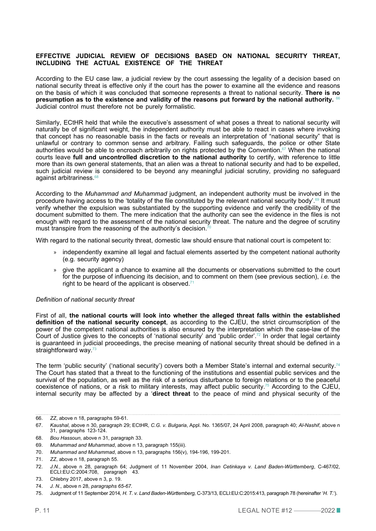#### **EFFECTIVE JUDICIAL REVIEW OF DECISIONS BASED ON NATIONAL SECURITY THREAT, INCLUDING THE ACTUAL EXISTENCE OF THE THREAT**

According to the EU case law, a judicial review by the court assessing the legality of a decision based on national security threat is effective only if the court has the power to examine all the evidence and reasons on the basis of which it was concluded that someone represents a threat to national security. **There is no presumption as to the existence and validity of the reasons put forward by the national authority.** <sup>66</sup> Judicial control must therefore not be purely formalistic.

Similarly, ECtHR held that while the executive's assessment of what poses a threat to national security will naturally be of significant weight, the independent authority must be able to react in cases where invoking that concept has no reasonable basis in the facts or reveals an interpretation of "national security" that is unlawful or contrary to common sense and arbitrary. Failing such safeguards, the police or other State authorities would be able to encroach arbitrarily on rights protected by the Convention.<sup>67</sup> When the national courts leave **full and uncontrolled discretion to the national authority** to certify, with reference to little more than its own general statements, that an alien was a threat to national security and had to be expelled, such judicial review is considered to be beyond any meaningful judicial scrutiny, providing no safeguard against arbitrariness.<sup>68</sup>

According to the *Muhammad and Muhammad* judgment, an independent authority must be involved in the procedure having access to the 'totality of the file constituted by the relevant national security body'.<sup>69</sup> It must verify whether the expulsion was substantiated by the supporting evidence and verify the credibility of the document submitted to them. The mere indication that the authority can see the evidence in the files is not enough with regard to the assessment of the national security threat. The nature and the degree of scrutiny must transpire from the reasoning of the authority's decision.<sup>70</sup>

With regard to the national security threat, domestic law should ensure that national court is competent to:

- » independently examine all legal and factual elements asserted by the competent national authority (e.g. security agency)
- » give the applicant a chance to examine all the documents or observations submitted to the court for the purpose of influencing its decision, and to comment on them (see previous section), *i.e.* the right to be heard of the applicant is observed.<sup>71</sup>

#### *Definition of national security threat*

First of all, **the national courts will look into whether the alleged threat falls within the established definition of the national security concept**, as according to the CJEU, the strict circumscription of the power of the competent national authorities is also ensured by the interpretation which the case-law of the Court of Justice gives to the concepts of 'national security' and 'public order'.<sup>72</sup> In order that legal certainty is guaranteed in judicial proceedings, the precise meaning of national security threat should be defined in a straightforward way.<sup>73</sup>

The term 'public security' ('national security') covers both a Member State's internal and external security.<sup>74</sup> The Court has stated that a threat to the functioning of the institutions and essential public services and the survival of the population, as well as the risk of a serious disturbance to foreign relations or to the peaceful coexistence of nations, or a risk to military interests, may affect public security.75 According to the CJEU, internal security may be affected by a '**direct threat** to the peace of mind and physical security of the

<sup>66.</sup> *ZZ*, above n 18, paragraphs 59-61.

<sup>67.</sup> *Kaushal*, above n 30, paragraph 29; ECtHR, *C.G. v. Bulgaria*, Appl. No. 1365/07, 24 April 2008, paragraph 40; *Al-Nashif*, above n 31, paragraphs 123-124.

<sup>68.</sup> *Bou Hassoun*, above n 31, paragraph 33.

<sup>69.</sup> *Muhammad and Muhammad*, above n 13, paragraph 155(iii).

<sup>70.</sup> *Muhammad and Muhammad*, above n 13, paragraphs 156(v), 194-196, 199-201.

<sup>71.</sup> *ZZ*, above n 18, paragraph 55.

<sup>72.</sup> *J.N.*, above n 28, paragraph 64; Judgment of 11 November 2004, *Inan Cetinkaya v. Land Baden-Württemberg*, C-467/02, ECLI:EU:C:2004:708, paragraph 43.

<sup>73.</sup> Chlebny 2017, above n 3, p. 19.

<sup>74.</sup> *J. N.,* above n 28, *paragraphs 65-67.*

P. 11 LEGAL NOTE #12 —2022 75. Judgment of 11 September 2014*, H. T. v. Land Baden-Württemberg,* C-373/13, ECLI:EU:C:2015:413, paragraph 78 (hereinafter '*H. T.*').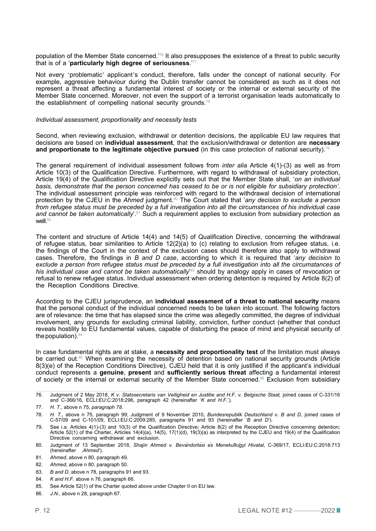population of the Member State concerned.'76 It also presupposes the existence of a threat to public security that is of a '**particularly high degree of seriousness**.'77

Not every 'problematic' applicant's conduct, therefore, falls under the concept of national security. For example, aggressive behaviour during the Dublin transfer cannot be considered as such as it does not represent a threat affecting a fundamental interest of society or the internal or external security of the Member State concerned. Moreover, not even the support of a terrorist organisation leads automatically to the establishment of compelling national security grounds.<sup>78</sup>

#### *Individual assessment, proportionality and necessity tests*

Second, when reviewing exclusion, withdrawal or detention decisions, the applicable EU law requires that decisions are based on **individual assessment**, that the exclusion/withdrawal or detention are **necessary and proportionate to the legitimate objective pursued** (in this case protection of national security).<sup>79</sup>

The general requirement of individual assessment follows from *inter alia* Article 4(1)-(3) as well as from Article 10(3) of the Qualification Directive. Furthermore, with regard to withdrawal of subsidiary protection, Article 19(4) of the Qualification Directive explicitly sets out that the Member State shall, '*on an individual basis, demonstrate that the person concerned has ceased to be or is not eligible for subsidiary protection'*. The individual assessment principle was reinforced with regard to the withdrawal decision of international protection by the CJEU in the *Ahmed* judgment.80 The Court stated that '*any decision to exclude a person from refugee status must be preceded by a full investigation into all the circumstances of his individua*l *case*  and cannot be taken automatically<sup>'.81</sup> Such a requirement applies to exclusion from subsidiary protection as well. $82$ 

The content and structure of Article 14(4) and 14(5) of Qualification Directive, concerning the withdrawal of refugee status, bear similarities to Article 12(2)(a) to (c) relating to exclusion from refugee status, i.e. the findings of the Court in the context of the exclusion cases should therefore also apply to withdrawal cases. Therefore, the findings in *B and D case*, according to which it is required that '*any decision to exclude a person from refugee status must be preceded by a full investigation into all the circumstances of his individual case and cannot be taken automatically*' 83 should by analogy apply in cases of revocation or refusal to renew refugee status. Individual assessment when ordering detention is required by Article 8(2) of the Reception Conditions Directive.

According to the CJEU jurisprudence, an **individual assessment of a threat to national security** means that the personal conduct of the individual concerned needs to be taken into account. The following factors are of relevance: the time that has elapsed since the crime was allegedly committed, the degree of individual involvement, any grounds for excluding criminal liability, conviction, further conduct (whether that conduct reveals hostility to EU fundamental values, capable of disturbing the peace of mind and physical security of the population). $84$ 

In case fundamental rights are at stake, a **necessity and proportionality test** of the limitation must always be carried out.<sup>85</sup> When examining the necessity of detention based on national security grounds (Article 8(3)(e) of the Reception Conditions Directive), CJEU held that it is only justified if the applicant's individual conduct represents a **genuine**, **present** and **sufficiently serious threat** affecting a fundamental interest of society or the internal or external security of the Member State concerned.<sup>86</sup> Exclusion from subsidiary

- 79. See i.a. Articles 4(1)-(3) and 10(3) of the Qualification Directive; Article 8(2) of the Reception Directive concerning detention; Article 52(1) of the Charter, Articles 14(4)(a), 14(5), 17(1)(d), 19(3)(a) as interpreted by the CJEU and 19(4) of the Qualification Directive concerning withdrawal and exclusion.
- 80. Judgment of 13 September 2018, *Shajin Ahmed v. Bevándorlási és Menekültügyi Hivatal*, C-369/17, ECLI:EU:C:2018:713 (hereinafter '*Ahmed*').

- 82. *Ahmed*, above n 80, paragraph 50.
- 83. *B and D*, above n 78, paragraphs 91 and 93.
- 84. *K and H.F.* above n 76, paragraph 66.
- 85. See Article 52(1) of the Charter quoted above under Chapter II on EU law.
- 86. *J.N.*, above n 28, paragraph 67.

<sup>76.</sup> Judgment of 2 May 2018, *K v. Statssecretaris van Veiligheid en Justitie and H.F. v. Belgische Staat,* joined cases of C-331/16 and C-366/16, ECLI:EU:C:2018:296, paragraph 42 (hereinafter '*K and H.F.*').

<sup>77.</sup> *H. T.,* above n 75, *paragraph 78.*

<sup>78.</sup> *H. T.,* above n 75, paragraph 99; Judgment of 9 November 2010, *Bundesrepublik Deutschland v. B and D*, joined cases of C-57/09 and C-101/09, ECLI:EU:C:2009:285, paragraphs 91 and 93 (hereinafter '*B and D*').

<sup>81.</sup> *Ahmed*, above n 80, paragraph 49.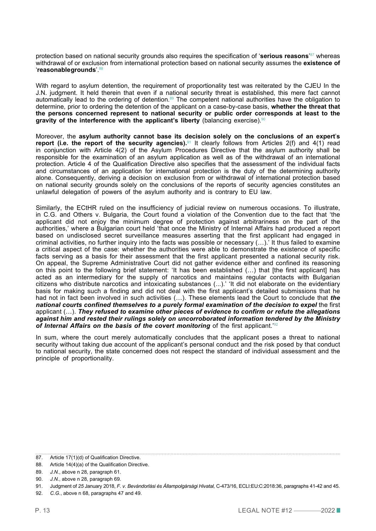protection based on national security grounds also requires the specification of '**serious reasons**' <sup>87</sup> whereas withdrawal of or exclusion from international protection based on national security assumes the **existence of**  '**reasonable grounds**'.88

With regard to asylum detention, the requirement of proportionality test was reiterated by the CJEU In the J.N. judgment. It held therein that even if a national security threat is established, this mere fact cannot automatically lead to the ordering of detention.<sup>89</sup> The competent national authorities have the obligation to determine, prior to ordering the detention of the applicant on a case-by-case basis, **whether the threat that the persons concerned represent to national security or public order corresponds at least to the gravity of the interference with the applicant's liberty** (balancing exercise).<sup>91</sup>

Moreover, the **asylum authority cannot base its decision solely on the conclusions of an expert**'**s report (i.e. the report of the security agencies).**<sup>91</sup> It clearly follows from Articles 2(f) and 4(1) read in conjunction with Article 4(2) of the Asylum Procedures Directive that the asylum authority shall be responsible for the examination of an asylum application as well as of the withdrawal of an international protection. Article 4 of the Qualification Directive also specifies that the assessment of the individual facts and circumstances of an application for international protection is the duty of the determining authority alone. Consequently, deriving a decision on exclusion from or withdrawal of international protection based on national security grounds solely on the conclusions of the reports of security agencies constitutes an unlawful delegation of powers of the asylum authority and is contrary to EU law.

Similarly, the ECtHR ruled on the insufficiency of judicial review on numerous occasions. To illustrate, in C.G. and Others v. Bulgaria, the Court found a violation of the Convention due to the fact that 'the applicant did not enjoy the minimum degree of protection against arbitrariness on the part of the authorities,' where a Bulgarian court held 'that once the Ministry of Internal Affairs had produced a report based on undisclosed secret surveillance measures asserting that the first applicant had engaged in criminal activities, no further inquiry into the facts was possible or necessary (…).' It thus failed to examine a critical aspect of the case: whether the authorities were able to demonstrate the existence of specific facts serving as a basis for their assessment that the first applicant presented a national security risk. On appeal, the Supreme Administrative Court did not gather evidence either and confined its reasoning on this point to the following brief statement: 'It has been established (…) that [the first applicant] has acted as an intermediary for the supply of narcotics and maintains regular contacts with Bulgarian citizens who distribute narcotics and intoxicating substances (...).' 'It did not elaborate on the evidentiary basis for making such a finding and did not deal with the first applicant's detailed submissions that he had not in fact been involved in such activities (…). These elements lead the Court to conclude that *the national courts confined themselves to a purely formal examination of the decision to expel* the first applicant (…). *They refused to examine other pieces of evidence to confirm or refute the allegations against him and rested their rulings solely on uncorroborated information tendered by the Ministry*  of Internal Affairs on the basis of the covert monitoring of the first applicant.<sup>12</sup>

In sum, where the court merely automatically concludes that the applicant poses a threat to national security without taking due account of the applicant's personal conduct and the risk posed by that conduct to national security, the state concerned does not respect the standard of individual assessment and the principle of proportionality.

<sup>87.</sup> Article 17(1)(d) of Qualification Directive.

<sup>88.</sup> Article 14(4)(a) of the Qualification Directive.

<sup>89.</sup> *J.N.*, above n 28, paragraph 61.

<sup>90.</sup> *J.N.*, above n 28, paragraph 69.

<sup>91.</sup> Judgment of *25* January 2018, *F. v. Bevándorlási és Állampolgársági Hivatal,* C-473/16, ECLI:EU:C:2018:36, paragraphs 41-42 and 45.

<sup>92.</sup> *C.G.*, above n 68, paragraphs 47 and 49.